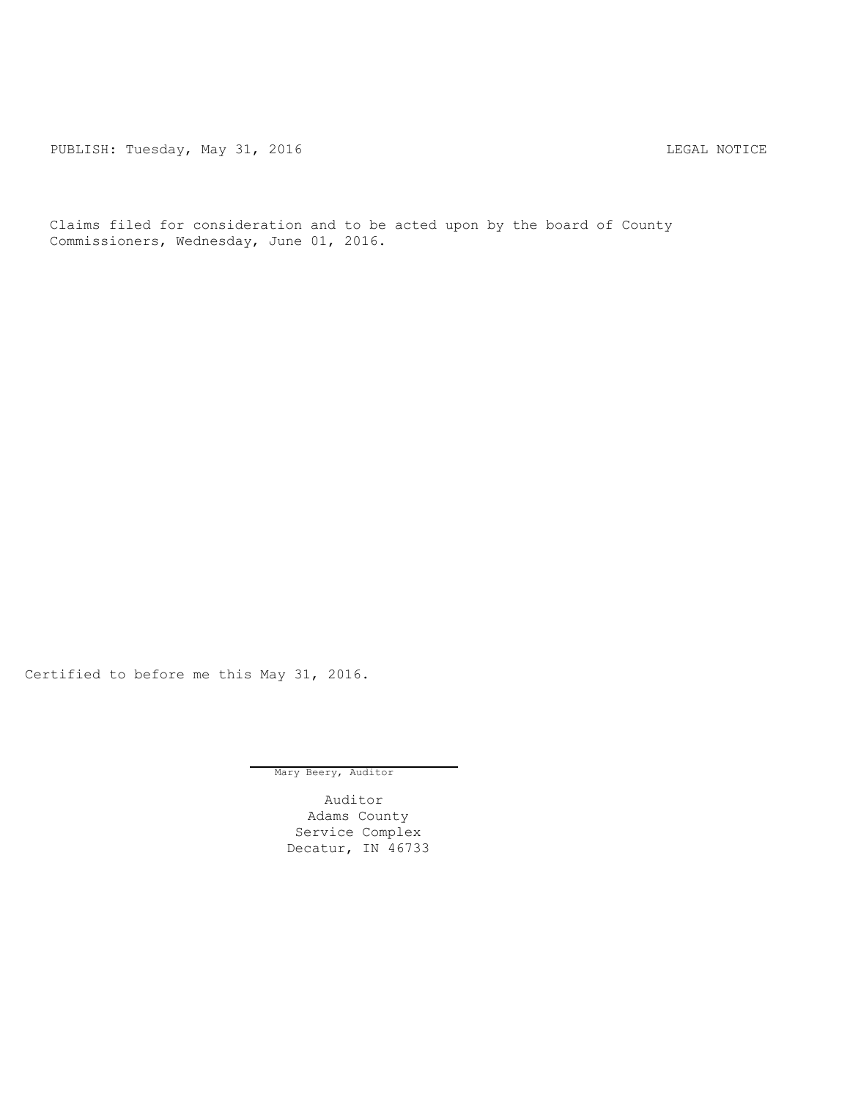PUBLISH: Tuesday, May 31, 2016 CHA CHANGE CONTROLLING MOTICE

Claims filed for consideration and to be acted upon by the board of County Commissioners, Wednesday, June 01, 2016.

Certified to before me this May 31, 2016.

Mary Beery, Auditor

Auditor Adams County Service Complex Decatur, IN 46733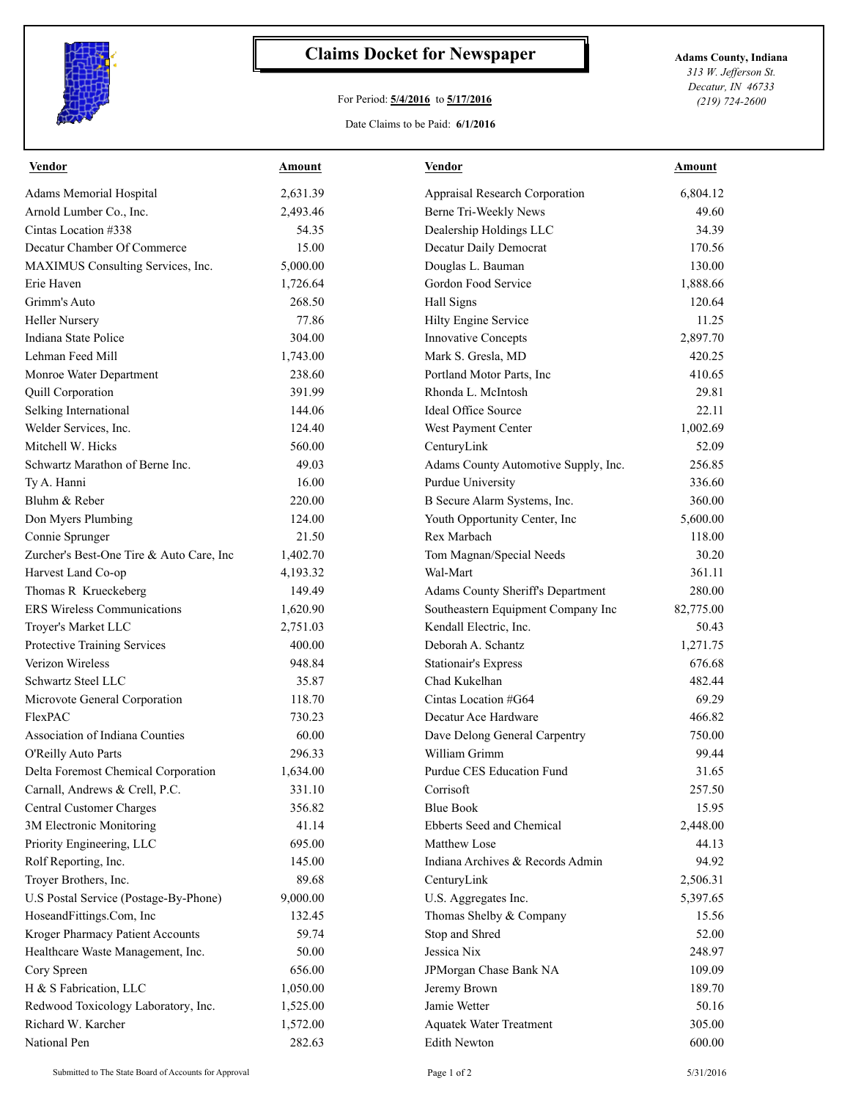

## **Claims Docket for Newspaper Adams County, Indiana**

## For Period: **5/4/2016** to **5/17/2016**

*313 W. Jefferson St. Decatur, IN 46733 (219) 724-2600*

Date Claims to be Paid: **6/1/2016**

| <b>Vendor</b>                            | Amount   | <b>Vendor</b>                        | Amount    |
|------------------------------------------|----------|--------------------------------------|-----------|
| Adams Memorial Hospital                  | 2,631.39 | Appraisal Research Corporation       | 6,804.12  |
| Arnold Lumber Co., Inc.                  | 2,493.46 | Berne Tri-Weekly News                | 49.60     |
| Cintas Location #338                     | 54.35    | Dealership Holdings LLC              | 34.39     |
| Decatur Chamber Of Commerce              | 15.00    | Decatur Daily Democrat               | 170.56    |
| MAXIMUS Consulting Services, Inc.        | 5,000.00 | Douglas L. Bauman                    | 130.00    |
| Erie Haven                               | 1,726.64 | Gordon Food Service                  | 1,888.66  |
| Grimm's Auto                             | 268.50   | Hall Signs                           | 120.64    |
| <b>Heller Nursery</b>                    | 77.86    | Hilty Engine Service                 | 11.25     |
| Indiana State Police                     | 304.00   | <b>Innovative Concepts</b>           | 2,897.70  |
| Lehman Feed Mill                         | 1,743.00 | Mark S. Gresla, MD                   | 420.25    |
| Monroe Water Department                  | 238.60   | Portland Motor Parts, Inc.           | 410.65    |
| Quill Corporation                        | 391.99   | Rhonda L. McIntosh                   | 29.81     |
| Selking International                    | 144.06   | <b>Ideal Office Source</b>           | 22.11     |
| Welder Services, Inc.                    | 124.40   | West Payment Center                  | 1,002.69  |
| Mitchell W. Hicks                        | 560.00   | CenturyLink                          | 52.09     |
| Schwartz Marathon of Berne Inc.          | 49.03    | Adams County Automotive Supply, Inc. | 256.85    |
| Ty A. Hanni                              | 16.00    | Purdue University                    | 336.60    |
| Bluhm & Reber                            | 220.00   | B Secure Alarm Systems, Inc.         | 360.00    |
| Don Myers Plumbing                       | 124.00   | Youth Opportunity Center, Inc        | 5,600.00  |
| Connie Sprunger                          | 21.50    | Rex Marbach                          | 118.00    |
| Zurcher's Best-One Tire & Auto Care, Inc | 1,402.70 | Tom Magnan/Special Needs             | 30.20     |
| Harvest Land Co-op                       | 4,193.32 | Wal-Mart                             | 361.11    |
| Thomas R Krueckeberg                     | 149.49   | Adams County Sheriff's Department    | 280.00    |
| <b>ERS Wireless Communications</b>       | 1,620.90 | Southeastern Equipment Company Inc   | 82,775.00 |
| Troyer's Market LLC                      | 2,751.03 | Kendall Electric, Inc.               | 50.43     |
| Protective Training Services             | 400.00   | Deborah A. Schantz                   | 1,271.75  |
| Verizon Wireless                         | 948.84   | <b>Stationair's Express</b>          | 676.68    |
| Schwartz Steel LLC                       | 35.87    | Chad Kukelhan                        | 482.44    |
| Microvote General Corporation            | 118.70   | Cintas Location #G64                 | 69.29     |
| FlexPAC                                  | 730.23   | Decatur Ace Hardware                 | 466.82    |
| Association of Indiana Counties          | 60.00    | Dave Delong General Carpentry        | 750.00    |
| O'Reilly Auto Parts                      | 296.33   | William Grimm                        | 99.44     |
| Delta Foremost Chemical Corporation      | 1,634.00 | Purdue CES Education Fund            | 31.65     |
| Carnall, Andrews & Crell, P.C.           | 331.10   | Corrisoft                            | 257.50    |
| Central Customer Charges                 | 356.82   | <b>Blue Book</b>                     | 15.95     |
| 3M Electronic Monitoring                 | 41.14    | Ebberts Seed and Chemical            | 2,448.00  |
| Priority Engineering, LLC                | 695.00   | Matthew Lose                         | 44.13     |
| Rolf Reporting, Inc.                     | 145.00   | Indiana Archives & Records Admin     | 94.92     |
| Troyer Brothers, Inc.                    | 89.68    | CenturyLink                          | 2,506.31  |
| U.S Postal Service (Postage-By-Phone)    | 9,000.00 | U.S. Aggregates Inc.                 | 5,397.65  |
| HoseandFittings.Com, Inc                 | 132.45   | Thomas Shelby & Company              | 15.56     |
| Kroger Pharmacy Patient Accounts         | 59.74    | Stop and Shred                       | 52.00     |
| Healthcare Waste Management, Inc.        | 50.00    | Jessica Nix                          | 248.97    |
| Cory Spreen                              | 656.00   | JPMorgan Chase Bank NA               | 109.09    |
| H & S Fabrication, LLC                   | 1,050.00 | Jeremy Brown                         | 189.70    |
| Redwood Toxicology Laboratory, Inc.      | 1,525.00 | Jamie Wetter                         | 50.16     |
| Richard W. Karcher                       | 1,572.00 | <b>Aquatek Water Treatment</b>       | 305.00    |
| National Pen                             | 282.63   | <b>Edith Newton</b>                  | 600.00    |
|                                          |          |                                      |           |